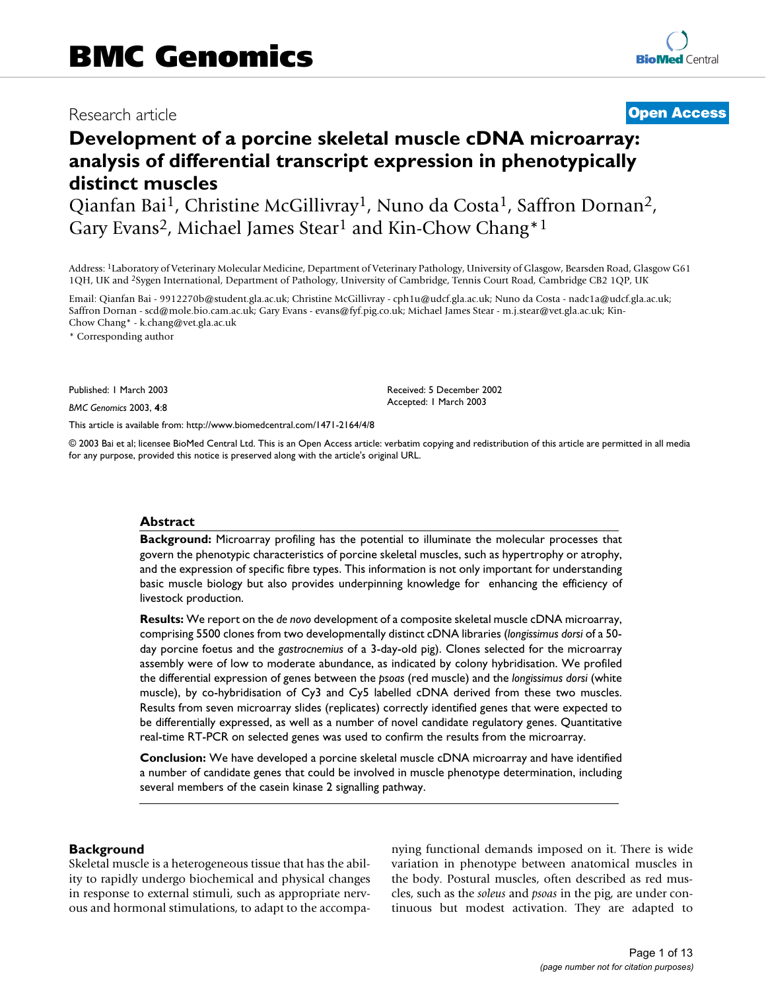# Research article **[Open Access](http://www.biomedcentral.com/info/about/charter/)**

# **Development of a porcine skeletal muscle cDNA microarray: analysis of differential transcript expression in phenotypically distinct muscles**

Qianfan Bai1, Christine McGillivray1, Nuno da Costa1, Saffron Dornan2, Gary Evans<sup>2</sup>, Michael James Stear<sup>1</sup> and Kin-Chow Chang<sup>\*1</sup>

Address: 1Laboratory of Veterinary Molecular Medicine, Department of Veterinary Pathology, University of Glasgow, Bearsden Road, Glasgow G61 1QH, UK and 2Sygen International, Department of Pathology, University of Cambridge, Tennis Court Road, Cambridge CB2 1QP, UK

Email: Qianfan Bai - 9912270b@student.gla.ac.uk; Christine McGillivray - cph1u@udcf.gla.ac.uk; Nuno da Costa - nadc1a@udcf.gla.ac.uk; Saffron Dornan - scd@mole.bio.cam.ac.uk; Gary Evans - evans@fyf.pig.co.uk; Michael James Stear - m.j.stear@vet.gla.ac.uk; Kin-Chow Chang\* - k.chang@vet.gla.ac.uk

\* Corresponding author

Published: 1 March 2003

*BMC Genomics* 2003, **4**:8

[This article is available from: http://www.biomedcentral.com/1471-2164/4/8](http://www.biomedcentral.com/1471-2164/4/8)

© 2003 Bai et al; licensee BioMed Central Ltd. This is an Open Access article: verbatim copying and redistribution of this article are permitted in all media for any purpose, provided this notice is preserved along with the article's original URL.

Received: 5 December 2002 Accepted: 1 March 2003

#### **Abstract**

**Background:** Microarray profiling has the potential to illuminate the molecular processes that govern the phenotypic characteristics of porcine skeletal muscles, such as hypertrophy or atrophy, and the expression of specific fibre types. This information is not only important for understanding basic muscle biology but also provides underpinning knowledge for enhancing the efficiency of livestock production.

**Results:** We report on the *de novo* development of a composite skeletal muscle cDNA microarray, comprising 5500 clones from two developmentally distinct cDNA libraries (*longissimus dorsi* of a 50 day porcine foetus and the *gastrocnemius* of a 3-day-old pig). Clones selected for the microarray assembly were of low to moderate abundance, as indicated by colony hybridisation. We profiled the differential expression of genes between the *psoas* (red muscle) and the *longissimus dorsi* (white muscle), by co-hybridisation of Cy3 and Cy5 labelled cDNA derived from these two muscles. Results from seven microarray slides (replicates) correctly identified genes that were expected to be differentially expressed, as well as a number of novel candidate regulatory genes. Quantitative real-time RT-PCR on selected genes was used to confirm the results from the microarray.

**Conclusion:** We have developed a porcine skeletal muscle cDNA microarray and have identified a number of candidate genes that could be involved in muscle phenotype determination, including several members of the casein kinase 2 signalling pathway.

#### **Background**

Skeletal muscle is a heterogeneous tissue that has the ability to rapidly undergo biochemical and physical changes in response to external stimuli, such as appropriate nervous and hormonal stimulations, to adapt to the accompanying functional demands imposed on it. There is wide variation in phenotype between anatomical muscles in the body. Postural muscles, often described as red muscles, such as the *soleus* and *psoas* in the pig, are under continuous but modest activation. They are adapted to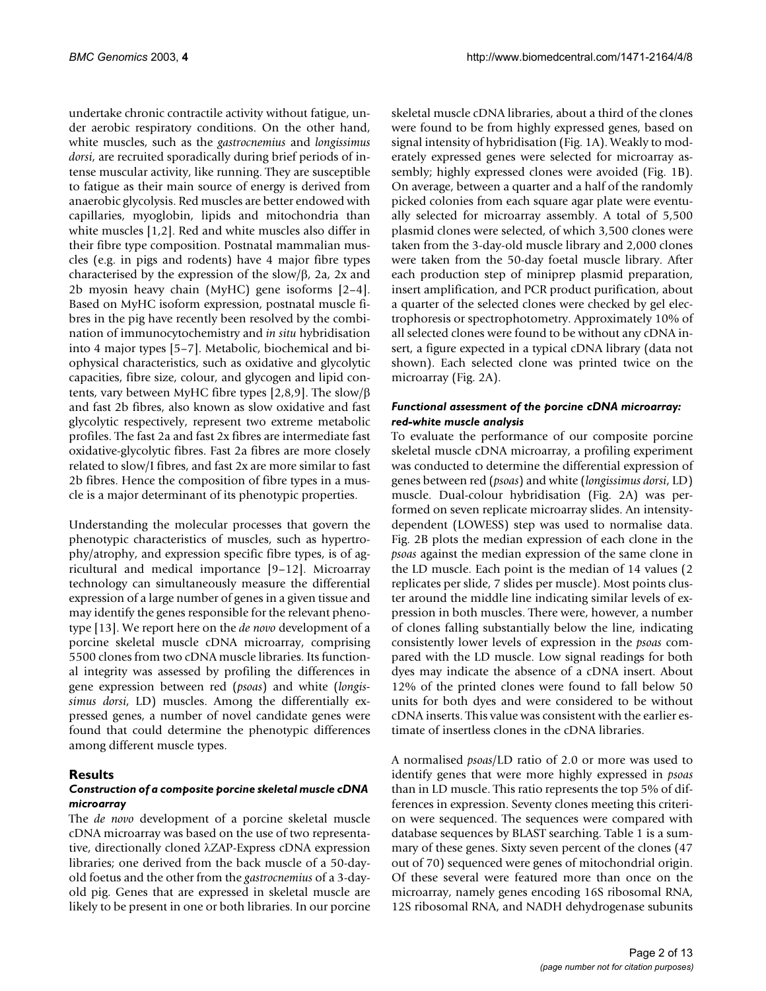undertake chronic contractile activity without fatigue, under aerobic respiratory conditions. On the other hand, white muscles, such as the *gastrocnemius* and *longissimus dorsi*, are recruited sporadically during brief periods of intense muscular activity, like running. They are susceptible to fatigue as their main source of energy is derived from anaerobic glycolysis. Red muscles are better endowed with capillaries, myoglobin, lipids and mitochondria than white muscles [1,2]. Red and white muscles also differ in their fibre type composition. Postnatal mammalian muscles (e.g. in pigs and rodents) have 4 major fibre types characterised by the expression of the slow/β, 2a, 2x and 2b myosin heavy chain (MyHC) gene isoforms [2–4]. Based on MyHC isoform expression, postnatal muscle fibres in the pig have recently been resolved by the combination of immunocytochemistry and *in situ* hybridisation into 4 major types [5–7]. Metabolic, biochemical and biophysical characteristics, such as oxidative and glycolytic capacities, fibre size, colour, and glycogen and lipid contents, vary between MyHC fibre types [2,8,9]. The slow/β and fast 2b fibres, also known as slow oxidative and fast glycolytic respectively, represent two extreme metabolic profiles. The fast 2a and fast 2x fibres are intermediate fast oxidative-glycolytic fibres. Fast 2a fibres are more closely related to slow/I fibres, and fast 2x are more similar to fast 2b fibres. Hence the composition of fibre types in a muscle is a major determinant of its phenotypic properties.

Understanding the molecular processes that govern the phenotypic characteristics of muscles, such as hypertrophy/atrophy, and expression specific fibre types, is of agricultural and medical importance [9–12]. Microarray technology can simultaneously measure the differential expression of a large number of genes in a given tissue and may identify the genes responsible for the relevant phenotype [13]. We report here on the *de novo* development of a porcine skeletal muscle cDNA microarray, comprising 5500 clones from two cDNA muscle libraries. Its functional integrity was assessed by profiling the differences in gene expression between red (*psoas*) and white (*longissimus dorsi*, LD) muscles. Among the differentially expressed genes, a number of novel candidate genes were found that could determine the phenotypic differences among different muscle types.

# **Results**

# *Construction of a composite porcine skeletal muscle cDNA microarray*

The *de novo* development of a porcine skeletal muscle cDNA microarray was based on the use of two representative, directionally cloned λZAP-Express cDNA expression libraries; one derived from the back muscle of a 50-dayold foetus and the other from the *gastrocnemius* of a 3-dayold pig. Genes that are expressed in skeletal muscle are likely to be present in one or both libraries. In our porcine

skeletal muscle cDNA libraries, about a third of the clones were found to be from highly expressed genes, based on signal intensity of hybridisation (Fig. [1](#page-2-0)A). Weakly to moderately expressed genes were selected for microarray assembly; highly expressed clones were avoided (Fig. [1B](#page-2-0)). On average, between a quarter and a half of the randomly picked colonies from each square agar plate were eventually selected for microarray assembly. A total of 5,500 plasmid clones were selected, of which 3,500 clones were taken from the 3-day-old muscle library and 2,000 clones were taken from the 50-day foetal muscle library. After each production step of miniprep plasmid preparation, insert amplification, and PCR product purification, about a quarter of the selected clones were checked by gel electrophoresis or spectrophotometry. Approximately 10% of all selected clones were found to be without any cDNA insert, a figure expected in a typical cDNA library (data not shown). Each selected clone was printed twice on the microarray (Fig. [2](#page-3-0)A).

# *Functional assessment of the porcine cDNA microarray: red-white muscle analysis*

To evaluate the performance of our composite porcine skeletal muscle cDNA microarray, a profiling experiment was conducted to determine the differential expression of genes between red (*psoas*) and white (*longissimus dorsi*, LD) muscle. Dual-colour hybridisation (Fig. [2](#page-3-0)A) was performed on seven replicate microarray slides. An intensitydependent (LOWESS) step was used to normalise data. Fig. [2B](#page-3-0) plots the median expression of each clone in the *psoas* against the median expression of the same clone in the LD muscle. Each point is the median of 14 values (2 replicates per slide, 7 slides per muscle). Most points cluster around the middle line indicating similar levels of expression in both muscles. There were, however, a number of clones falling substantially below the line, indicating consistently lower levels of expression in the *psoas* compared with the LD muscle. Low signal readings for both dyes may indicate the absence of a cDNA insert. About 12% of the printed clones were found to fall below 50 units for both dyes and were considered to be without cDNA inserts. This value was consistent with the earlier estimate of insertless clones in the cDNA libraries.

A normalised *psoas*/LD ratio of 2.0 or more was used to identify genes that were more highly expressed in *psoas* than in LD muscle. This ratio represents the top 5% of differences in expression. Seventy clones meeting this criterion were sequenced. The sequences were compared with database sequences by BLAST searching. Table [1](#page-4-0) is a summary of these genes. Sixty seven percent of the clones (47 out of 70) sequenced were genes of mitochondrial origin. Of these several were featured more than once on the microarray, namely genes encoding 16S ribosomal RNA, 12S ribosomal RNA, and NADH dehydrogenase subunits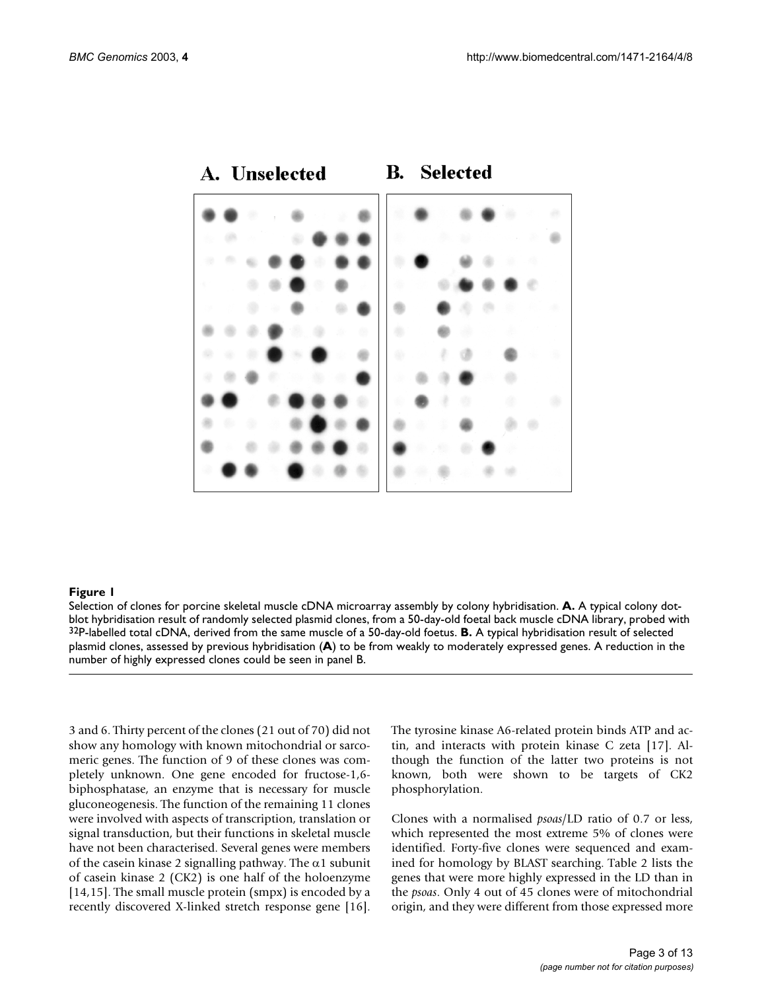

#### <span id="page-2-0"></span>A. Unselected **B. Selected**

#### **Figure 1**

Selection of clones for porcine skeletal muscle cDNA microarray assembly by colony hybridisation. **A.** A typical colony dotblot hybridisation result of randomly selected plasmid clones, from a 50-day-old foetal back muscle cDNA library, probed with 32P-labelled total cDNA, derived from the same muscle of a 50-day-old foetus. **B.** A typical hybridisation result of selected plasmid clones, assessed by previous hybridisation (**A**) to be from weakly to moderately expressed genes. A reduction in the number of highly expressed clones could be seen in panel B.

3 and 6. Thirty percent of the clones (21 out of 70) did not show any homology with known mitochondrial or sarcomeric genes. The function of 9 of these clones was completely unknown. One gene encoded for fructose-1,6 biphosphatase, an enzyme that is necessary for muscle gluconeogenesis. The function of the remaining 11 clones were involved with aspects of transcription, translation or signal transduction, but their functions in skeletal muscle have not been characterised. Several genes were members of the casein kinase 2 signalling pathway. The  $\alpha$ 1 subunit of casein kinase 2 (CK2) is one half of the holoenzyme [14,15]. The small muscle protein (smpx) is encoded by a recently discovered X-linked stretch response gene [16].

The tyrosine kinase A6-related protein binds ATP and actin, and interacts with protein kinase C zeta [17]. Although the function of the latter two proteins is not known, both were shown to be targets of CK2 phosphorylation.

Clones with a normalised *psoas*/LD ratio of 0.7 or less, which represented the most extreme 5% of clones were identified. Forty-five clones were sequenced and examined for homology by BLAST searching. Table [2](#page-5-0) lists the genes that were more highly expressed in the LD than in the *psoas*. Only 4 out of 45 clones were of mitochondrial origin, and they were different from those expressed more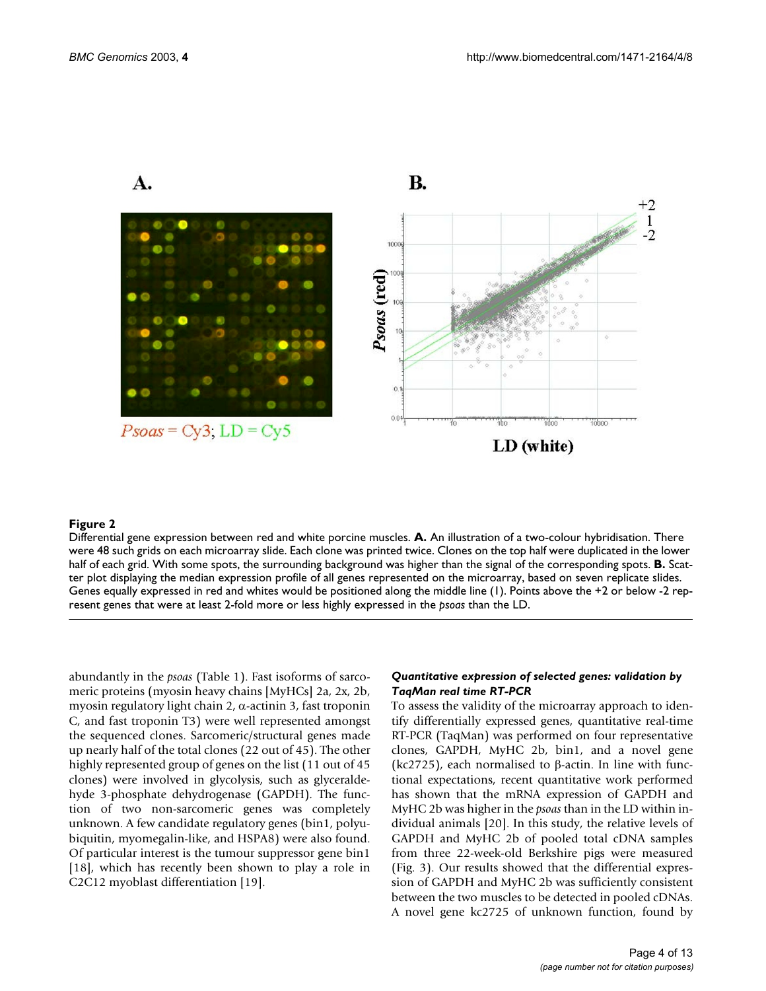A.

<span id="page-3-0"></span>

#### **Figure 2**

Differential gene expression between red and white porcine muscles. **A.** An illustration of a two-colour hybridisation. There were 48 such grids on each microarray slide. Each clone was printed twice. Clones on the top half were duplicated in the lower half of each grid. With some spots, the surrounding background was higher than the signal of the corresponding spots. **B.** Scatter plot displaying the median expression profile of all genes represented on the microarray, based on seven replicate slides. Genes equally expressed in red and whites would be positioned along the middle line (1). Points above the +2 or below -2 represent genes that were at least 2-fold more or less highly expressed in the *psoas* than the LD.

abundantly in the *psoas* (Table [1\)](#page-4-0). Fast isoforms of sarcomeric proteins (myosin heavy chains [MyHCs] 2a, 2x, 2b, myosin regulatory light chain 2, α-actinin 3, fast troponin C, and fast troponin T3) were well represented amongst the sequenced clones. Sarcomeric/structural genes made up nearly half of the total clones (22 out of 45). The other highly represented group of genes on the list (11 out of 45 clones) were involved in glycolysis, such as glyceraldehyde 3-phosphate dehydrogenase (GAPDH). The function of two non-sarcomeric genes was completely unknown. A few candidate regulatory genes (bin1, polyubiquitin, myomegalin-like, and HSPA8) were also found. Of particular interest is the tumour suppressor gene bin1 [18], which has recently been shown to play a role in C2C12 myoblast differentiation [19].

#### *Quantitative expression of selected genes: validation by TaqMan real time RT-PCR*

To assess the validity of the microarray approach to identify differentially expressed genes, quantitative real-time RT-PCR (TaqMan) was performed on four representative clones, GAPDH, MyHC 2b, bin1, and a novel gene (kc2725), each normalised to β-actin. In line with functional expectations, recent quantitative work performed has shown that the mRNA expression of GAPDH and MyHC 2b was higher in the *psoas* than in the LD within individual animals [20]. In this study, the relative levels of GAPDH and MyHC 2b of pooled total cDNA samples from three 22-week-old Berkshire pigs were measured (Fig. [3\)](#page-6-0). Our results showed that the differential expression of GAPDH and MyHC 2b was sufficiently consistent between the two muscles to be detected in pooled cDNAs. A novel gene kc2725 of unknown function, found by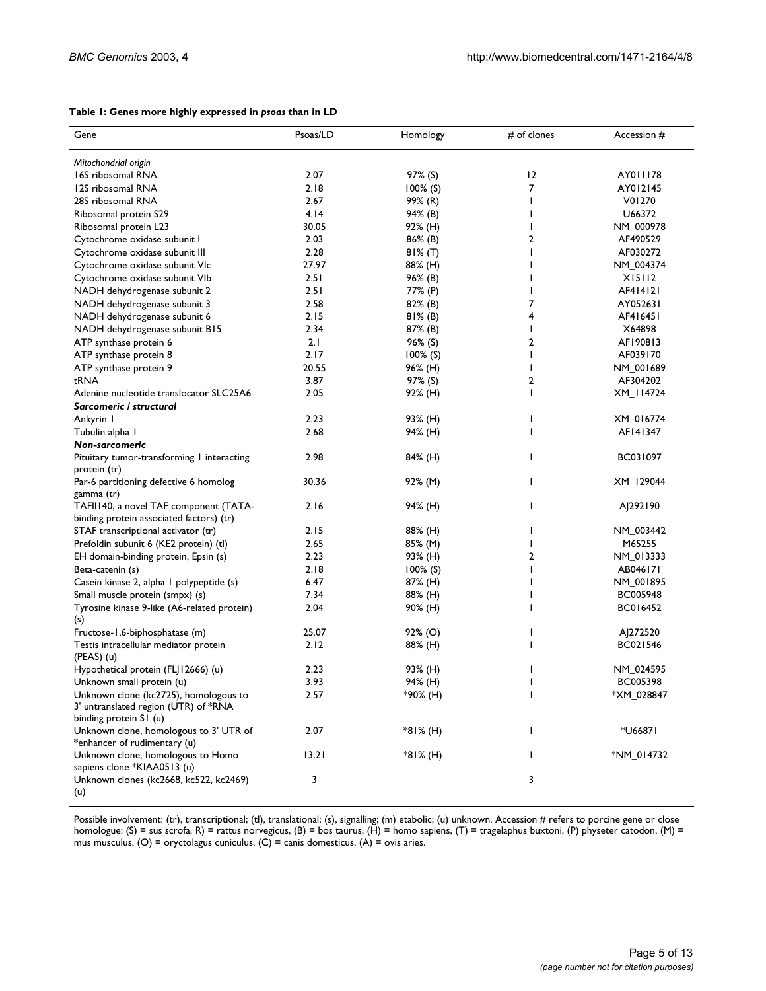#### <span id="page-4-0"></span>**Table 1: Genes more highly expressed in** *psoas* **than in LD**

| Gene                                                                                                    | Psoas/LD | Homology    | # of clones    | Accession # |
|---------------------------------------------------------------------------------------------------------|----------|-------------|----------------|-------------|
| Mitochondrial origin                                                                                    |          |             |                |             |
| 16S ribosomal RNA                                                                                       | 2.07     | 97% (S)     | 12             | AY011178    |
| 12S ribosomal RNA                                                                                       | 2.18     | $100\%$ (S) | $\overline{7}$ | AY012145    |
| 28S ribosomal RNA                                                                                       | 2.67     | 99% (R)     | L              | V01270      |
| Ribosomal protein S29                                                                                   | 4.14     | 94% (B)     |                | U66372      |
| Ribosomal protein L23                                                                                   | 30.05    | 92% (H)     |                | NM_000978   |
| Cytochrome oxidase subunit I                                                                            | 2.03     | 86% (B)     | $\mathbf{2}$   | AF490529    |
| Cytochrome oxidase subunit III                                                                          | 2.28     | $81\%$ (T)  |                | AF030272    |
| Cytochrome oxidase subunit VIc                                                                          | 27.97    | 88% (H)     |                | NM_004374   |
| Cytochrome oxidase subunit VIb                                                                          | 2.51     | 96% (B)     |                | X15112      |
| NADH dehydrogenase subunit 2                                                                            | 2.51     | 77% (P)     |                | AF414121    |
| NADH dehydrogenase subunit 3                                                                            | 2.58     | 82% (B)     | 7              | AY052631    |
| NADH dehydrogenase subunit 6                                                                            | 2.15     | $81\%$ (B)  | 4              | AF416451    |
| NADH dehydrogenase subunit B15                                                                          | 2.34     | 87% (B)     | ı              | X64898      |
| ATP synthase protein 6                                                                                  | 2.1      | 96% (S)     | 2              | AF190813    |
| ATP synthase protein 8                                                                                  | 2.17     | $100\%$ (S) | ı              | AF039170    |
| ATP synthase protein 9                                                                                  | 20.55    | 96% (H)     |                | NM_001689   |
| tRNA                                                                                                    | 3.87     | 97% (S)     | 2              | AF304202    |
| Adenine nucleotide translocator SLC25A6                                                                 | 2.05     | 92% (H)     | L              | XM_114724   |
| Sarcomeric / structural                                                                                 |          |             |                |             |
| Ankyrin I                                                                                               | 2.23     | 93% (H)     | I              | XM_016774   |
| Tubulin alpha 1                                                                                         | 2.68     | 94% (H)     | L              | AF141347    |
| Non-sarcomeric                                                                                          |          |             |                |             |
| Pituitary tumor-transforming I interacting<br>protein (tr)                                              | 2.98     | 84% (H)     | L              | BC031097    |
| Par-6 partitioning defective 6 homolog<br>gamma (tr)                                                    | 30.36    | 92% (M)     | L              | XM_129044   |
| TAFII140, a novel TAF component (TATA-<br>binding protein associated factors) (tr)                      | 2.16     | 94% (H)     | L              | AJ292190    |
| STAF transcriptional activator (tr)                                                                     | 2.15     | 88% (H)     |                | NM_003442   |
| Prefoldin subunit 6 (KE2 protein) (tl)                                                                  | 2.65     | 85% (M)     |                | M65255      |
| EH domain-binding protein, Epsin (s)                                                                    | 2.23     | 93% (H)     | 2              | NM_013333   |
| Beta-catenin (s)                                                                                        | 2.18     | $100\%$ (S) |                | AB046171    |
| Casein kinase 2, alpha I polypeptide (s)                                                                | 6.47     | 87% (H)     |                | NM_001895   |
| Small muscle protein (smpx) (s)                                                                         | 7.34     | 88% (H)     |                | BC005948    |
| Tyrosine kinase 9-like (A6-related protein)<br>(s)                                                      | 2.04     | 90% (H)     |                | BC016452    |
| Fructose-1,6-biphosphatase (m)                                                                          | 25.07    | $92\%$ (O)  | ı              | A 272520    |
| Testis intracellular mediator protein<br>$(PEAS)$ (u)                                                   | 2.12     | 88% (H)     | ı              | BC021546    |
| Hypothetical protein (FLJ12666) (u)                                                                     | 2.23     | 93% (H)     | ı              | NM_024595   |
| Unknown small protein (u)                                                                               | 3.93     | 94% (H)     |                | BC005398    |
| Unknown clone (kc2725), homologous to<br>3' untranslated region (UTR) of *RNA<br>binding protein S1 (u) | 2.57     | *90% (H)    | I              | *XM_028847  |
| Unknown clone, homologous to 3' UTR of<br>*enhancer of rudimentary (u)                                  | 2.07     | *81% (H)    | L              | *U66871     |
| Unknown clone, homologous to Homo<br>sapiens clone *KIAA0513 (u)                                        | 13.21    | *81% (H)    | L              | *NM_014732  |
| Unknown clones (kc2668, kc522, kc2469)<br>(u)                                                           | 3        |             | 3              |             |

Possible involvement: (tr), transcriptional; (tl), translational; (s), signalling; (m) etabolic; (u) unknown. Accession # refers to porcine gene or close homologue: (S) = sus scrofa, R) = rattus norvegicus, (B) = bos taurus, (H) = homo sapiens, (T) = tragelaphus buxtoni, (P) physeter catodon, (M) = mus musculus, (O) = oryctolagus cuniculus, (C) = canis domesticus, (A) = ovis aries.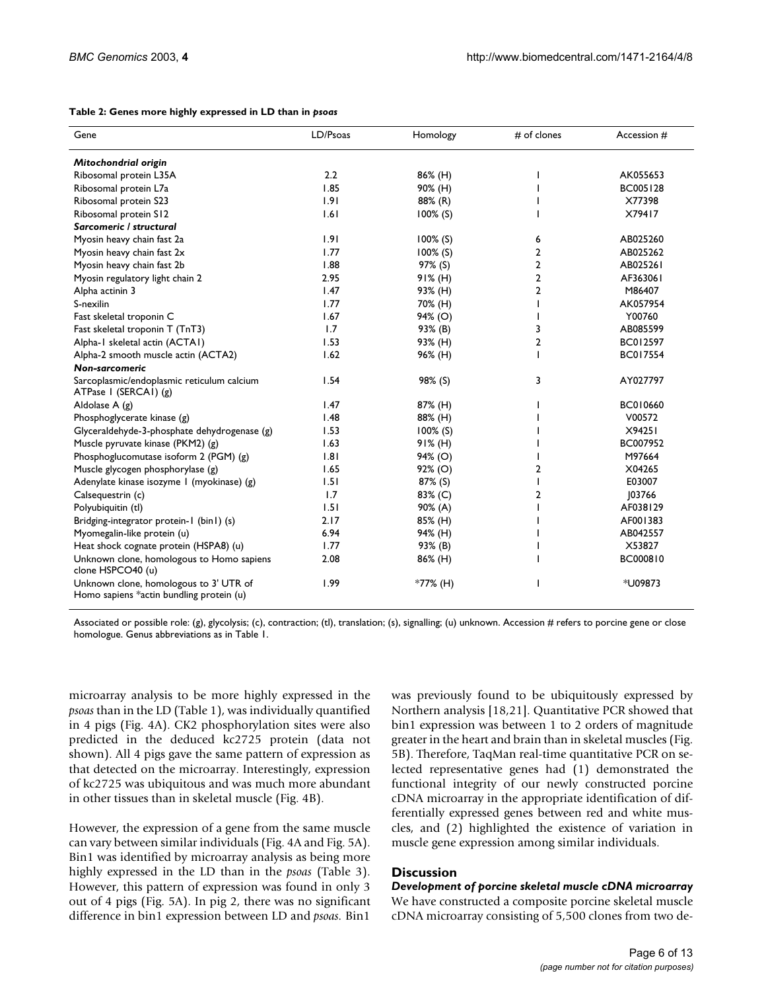#### <span id="page-5-0"></span>**Table 2: Genes more highly expressed in LD than in** *psoas*

| Gene                                                                               | LD/Psoas | Homology    | # of clones    | Accession #     |
|------------------------------------------------------------------------------------|----------|-------------|----------------|-----------------|
| Mitochondrial origin                                                               |          |             |                |                 |
| Ribosomal protein L35A                                                             | 2.2      | 86% (H)     |                | AK055653        |
| Ribosomal protein L7a                                                              | 1.85     | 90% (H)     |                | BC005128        |
| Ribosomal protein S23                                                              | 1.91     | 88% (R)     |                | X77398          |
| Ribosomal protein S12                                                              | 1.61     | $100\%$ (S) |                | X79417          |
| Sarcomeric / structural                                                            |          |             |                |                 |
| Myosin heavy chain fast 2a                                                         | 1.91     | $100\%$ (S) | 6              | AB025260        |
| Myosin heavy chain fast 2x                                                         | 1.77     | 100% (S)    | $\overline{2}$ | AB025262        |
| Myosin heavy chain fast 2b                                                         | 1.88     | 97% (S)     | $\overline{2}$ | AB025261        |
| Myosin regulatory light chain 2                                                    | 2.95     | $91\%$ (H)  | $\overline{2}$ | AF363061        |
| Alpha actinin 3                                                                    | 1.47     | 93% (H)     | $\overline{2}$ | M86407          |
| S-nexilin                                                                          | 1.77     | 70% (H)     | J.             | AK057954        |
| Fast skeletal troponin C                                                           | 1.67     | 94% (O)     |                | Y00760          |
| Fast skeletal troponin T (TnT3)                                                    | 1.7      | 93% (B)     | 3              | AB085599        |
| Alpha-1 skeletal actin (ACTA1)                                                     | 1.53     | 93% (H)     | $\overline{2}$ | BC012597        |
| Alpha-2 smooth muscle actin (ACTA2)                                                | 1.62     | 96% (H)     |                | <b>BC017554</b> |
| Non-sarcomeric                                                                     |          |             |                |                 |
| Sarcoplasmic/endoplasmic reticulum calcium<br>ATPase I (SERCAI) (g)                | 1.54     | 98% (S)     | 3              | AY027797        |
| Aldolase $A(g)$                                                                    | 1.47     | 87% (H)     |                | BC010660        |
| Phosphoglycerate kinase (g)                                                        | 1.48     | 88% (H)     |                | V00572          |
| Glyceraldehyde-3-phosphate dehydrogenase (g)                                       | 1.53     | $100\%$ (S) |                | X94251          |
| Muscle pyruvate kinase (PKM2) (g)                                                  | 1.63     | $91\%$ (H)  |                | BC007952        |
| Phosphoglucomutase isoform 2 (PGM) (g)                                             | 1.81     | $94\%$ (O)  |                | M97664          |
| Muscle glycogen phosphorylase (g)                                                  | 1.65     | $92\%$ (O)  | 2              | X04265          |
| Adenylate kinase isozyme I (myokinase) (g)                                         | 1.51     | 87% (S)     |                | E03007          |
| Calsequestrin (c)                                                                  | 1.7      | 83% (C)     | $\overline{2}$ | 103766          |
| Polyubiquitin (tl)                                                                 | 1.51     | 90% (A)     |                | AF038129        |
| Bridging-integrator protein-1 (bin1) (s)                                           | 2.17     | 85% (H)     |                | AF001383        |
| Myomegalin-like protein (u)                                                        | 6.94     | 94% (H)     |                | AB042557        |
| Heat shock cognate protein (HSPA8) (u)                                             | 1.77     | 93% (B)     |                | X53827          |
| Unknown clone, homologous to Homo sapiens<br>clone HSPCO40 (u)                     | 2.08     | 86% (H)     |                | BC000810        |
| Unknown clone, homologous to 3' UTR of<br>Homo sapiens *actin bundling protein (u) | 1.99     | $*77\%$ (H) |                | *U09873         |

Associated or possible role: (g), glycolysis; (c), contraction; (tl), translation; (s), signalling; (u) unknown. Accession # refers to porcine gene or close homologue. Genus abbreviations as in Table [1](#page-4-0).

microarray analysis to be more highly expressed in the *psoas* than in the LD (Table [1](#page-4-0)), was individually quantified in 4 pigs (Fig. [4A](#page-7-0)). CK2 phosphorylation sites were also predicted in the deduced kc2725 protein (data not shown). All 4 pigs gave the same pattern of expression as that detected on the microarray. Interestingly, expression of kc2725 was ubiquitous and was much more abundant in other tissues than in skeletal muscle (Fig. [4B](#page-7-0)).

However, the expression of a gene from the same muscle can vary between similar individuals (Fig. [4](#page-7-0)A and Fig. 5A). Bin1 was identified by microarray analysis as being more highly expressed in the LD than in the *psoas* (Table [3\)](#page-9-0). However, this pattern of expression was found in only 3 out of 4 pigs (Fig. 5A). In pig 2, there was no significant difference in bin1 expression between LD and *psoas.* Bin1

was previously found to be ubiquitously expressed by Northern analysis [18,21]. Quantitative PCR showed that bin1 expression was between 1 to 2 orders of magnitude greater in the heart and brain than in skeletal muscles (Fig. 5B). Therefore, TaqMan real-time quantitative PCR on selected representative genes had (1) demonstrated the functional integrity of our newly constructed porcine cDNA microarray in the appropriate identification of differentially expressed genes between red and white muscles, and (2) highlighted the existence of variation in muscle gene expression among similar individuals.

# **Discussion**

*Development of porcine skeletal muscle cDNA microarray* We have constructed a composite porcine skeletal muscle cDNA microarray consisting of 5,500 clones from two de-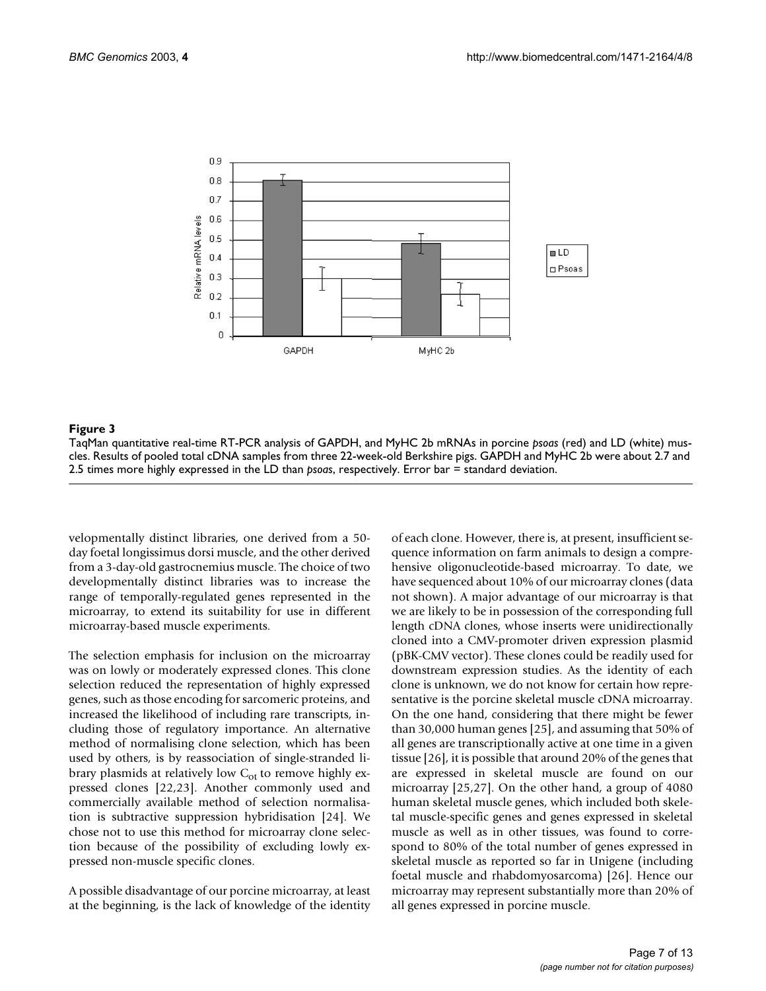<span id="page-6-0"></span>

#### **Figure 3**

TaqMan quantitative real-time RT-PCR analysis of GAPDH, and MyHC 2b mRNAs in porcine *psoas* (red) and LD (white) muscles. Results of pooled total cDNA samples from three 22-week-old Berkshire pigs. GAPDH and MyHC 2b were about 2.7 and 2.5 times more highly expressed in the LD than *psoas*, respectively. Error bar = standard deviation.

velopmentally distinct libraries, one derived from a 50 day foetal longissimus dorsi muscle, and the other derived from a 3-day-old gastrocnemius muscle. The choice of two developmentally distinct libraries was to increase the range of temporally-regulated genes represented in the microarray, to extend its suitability for use in different microarray-based muscle experiments.

The selection emphasis for inclusion on the microarray was on lowly or moderately expressed clones. This clone selection reduced the representation of highly expressed genes, such as those encoding for sarcomeric proteins, and increased the likelihood of including rare transcripts, including those of regulatory importance. An alternative method of normalising clone selection, which has been used by others, is by reassociation of single-stranded library plasmids at relatively low  $C_{\text{ot}}$  to remove highly expressed clones [22,23]. Another commonly used and commercially available method of selection normalisation is subtractive suppression hybridisation [24]. We chose not to use this method for microarray clone selection because of the possibility of excluding lowly expressed non-muscle specific clones.

A possible disadvantage of our porcine microarray, at least at the beginning, is the lack of knowledge of the identity of each clone. However, there is, at present, insufficient sequence information on farm animals to design a comprehensive oligonucleotide-based microarray. To date, we have sequenced about 10% of our microarray clones (data not shown). A major advantage of our microarray is that we are likely to be in possession of the corresponding full length cDNA clones, whose inserts were unidirectionally cloned into a CMV-promoter driven expression plasmid (pBK-CMV vector). These clones could be readily used for downstream expression studies. As the identity of each clone is unknown, we do not know for certain how representative is the porcine skeletal muscle cDNA microarray. On the one hand, considering that there might be fewer than 30,000 human genes [25], and assuming that 50% of all genes are transcriptionally active at one time in a given tissue [26], it is possible that around 20% of the genes that are expressed in skeletal muscle are found on our microarray [25,27]. On the other hand, a group of 4080 human skeletal muscle genes, which included both skeletal muscle-specific genes and genes expressed in skeletal muscle as well as in other tissues, was found to correspond to 80% of the total number of genes expressed in skeletal muscle as reported so far in Unigene (including foetal muscle and rhabdomyosarcoma) [26]. Hence our microarray may represent substantially more than 20% of all genes expressed in porcine muscle.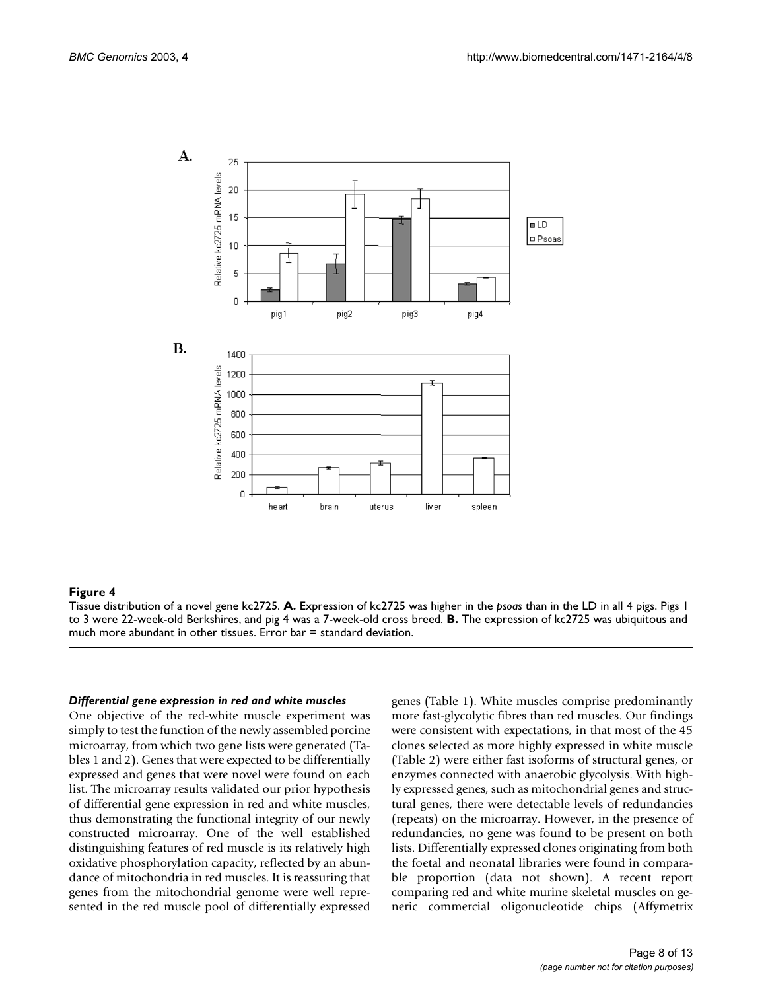<span id="page-7-0"></span>

#### **Figure 4**

Tissue distribution of a novel gene kc2725. **A.** Expression of kc2725 was higher in the *psoas* than in the LD in all 4 pigs. Pigs 1 to 3 were 22-week-old Berkshires, and pig 4 was a 7-week-old cross breed. **B.** The expression of kc2725 was ubiquitous and much more abundant in other tissues. Error bar = standard deviation.

#### *Differential gene expression in red and white muscles*

One objective of the red-white muscle experiment was simply to test the function of the newly assembled porcine microarray, from which two gene lists were generated (Tables [1](#page-4-0) and [2\)](#page-5-0). Genes that were expected to be differentially expressed and genes that were novel were found on each list. The microarray results validated our prior hypothesis of differential gene expression in red and white muscles, thus demonstrating the functional integrity of our newly constructed microarray. One of the well established distinguishing features of red muscle is its relatively high oxidative phosphorylation capacity, reflected by an abundance of mitochondria in red muscles. It is reassuring that genes from the mitochondrial genome were well represented in the red muscle pool of differentially expressed

genes (Table [1\)](#page-4-0). White muscles comprise predominantly more fast-glycolytic fibres than red muscles. Our findings were consistent with expectations, in that most of the 45 clones selected as more highly expressed in white muscle (Table [2](#page-5-0)) were either fast isoforms of structural genes, or enzymes connected with anaerobic glycolysis. With highly expressed genes, such as mitochondrial genes and structural genes, there were detectable levels of redundancies (repeats) on the microarray. However, in the presence of redundancies, no gene was found to be present on both lists. Differentially expressed clones originating from both the foetal and neonatal libraries were found in comparable proportion (data not shown). A recent report comparing red and white murine skeletal muscles on generic commercial oligonucleotide chips (Affymetrix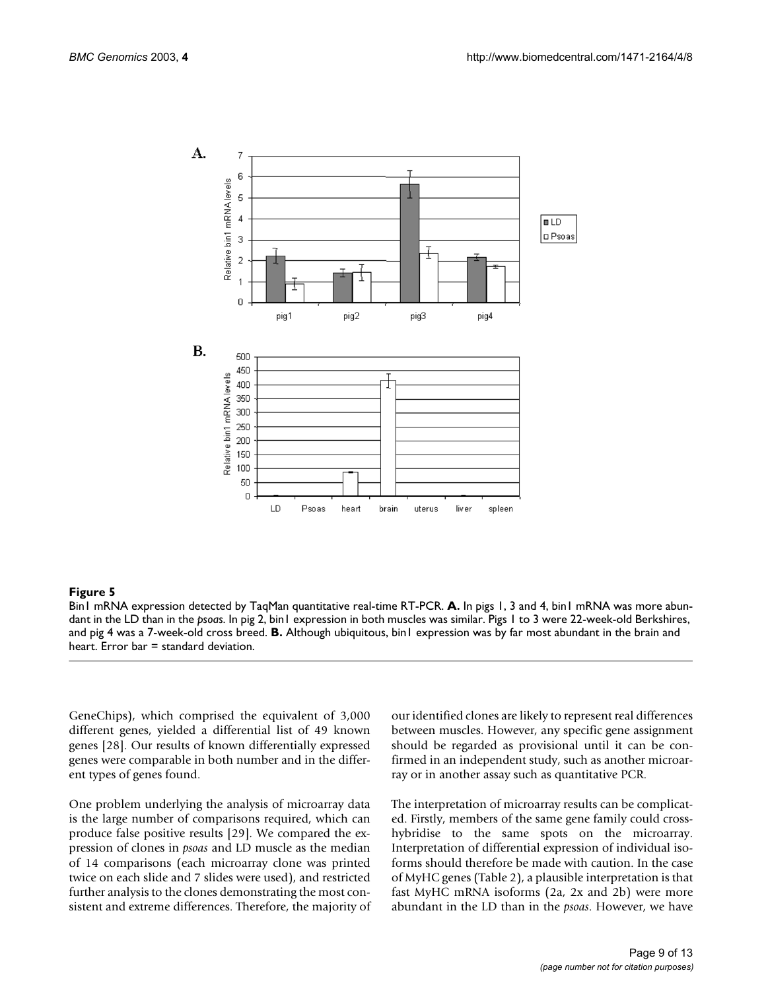

#### **Figure 5**

Bin1 mRNA expression detected by TaqMan quantitative real-time RT-PCR. **A.** In pigs 1, 3 and 4, bin1 mRNA was more abundant in the LD than in the *psoas*. In pig 2, bin1 expression in both muscles was similar. Pigs 1 to 3 were 22-week-old Berkshires, and pig 4 was a 7-week-old cross breed. **B.** Although ubiquitous, bin1 expression was by far most abundant in the brain and heart. Error bar = standard deviation.

GeneChips), which comprised the equivalent of 3,000 different genes, yielded a differential list of 49 known genes [28]. Our results of known differentially expressed genes were comparable in both number and in the different types of genes found.

One problem underlying the analysis of microarray data is the large number of comparisons required, which can produce false positive results [29]. We compared the expression of clones in *psoas* and LD muscle as the median of 14 comparisons (each microarray clone was printed twice on each slide and 7 slides were used), and restricted further analysis to the clones demonstrating the most consistent and extreme differences. Therefore, the majority of our identified clones are likely to represent real differences between muscles. However, any specific gene assignment should be regarded as provisional until it can be confirmed in an independent study, such as another microarray or in another assay such as quantitative PCR.

The interpretation of microarray results can be complicated. Firstly, members of the same gene family could crosshybridise to the same spots on the microarray. Interpretation of differential expression of individual isoforms should therefore be made with caution. In the case of MyHC genes (Table [2\)](#page-5-0), a plausible interpretation is that fast MyHC mRNA isoforms (2a, 2x and 2b) were more abundant in the LD than in the *psoas*. However, we have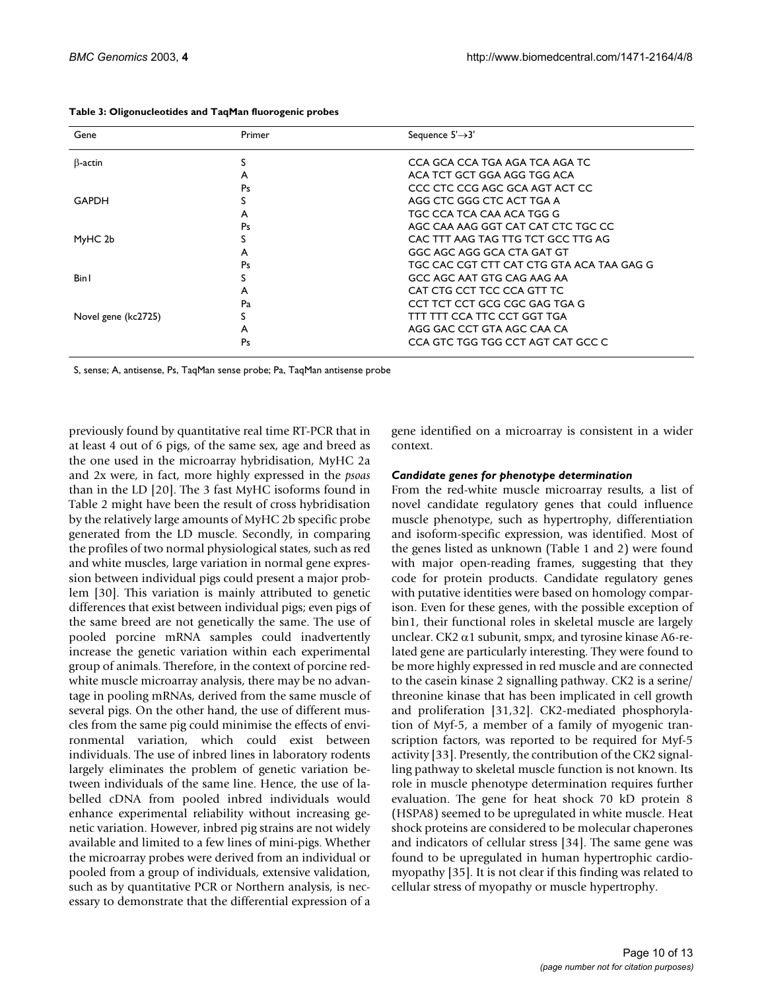| Gene                | Primer | Sequence $5' \rightarrow 3'$              |
|---------------------|--------|-------------------------------------------|
| $\beta$ -actin      | S      | CCA GCA CCA TGA AGA TCA AGA TC            |
|                     | A      | ACA TCT GCT GGA AGG TGG ACA               |
|                     | Ps     | CCC CTC CCG AGC GCA AGT ACT CC            |
| <b>GAPDH</b>        | S      | AGG CTC GGG CTC ACT TGA A                 |
|                     | A      | TGC CCA TCA CAA ACA TGG G                 |
|                     | Ps     | AGC CAA AAG GGT CAT CAT CTC TGC CC        |
| MyHC 2b             |        | CAC TTT AAG TAG TTG TCT GCC TTG AG        |
|                     | A      | GGC AGC AGG GCA CTA GAT GT                |
|                     | Ps     | TGC CAC CGT CTT CAT CTG GTA ACA TAA GAG G |
| <b>Bin I</b>        | S      | GCC AGC AAT GTG CAG AAG AA                |
|                     | A      | CAT CTG CCT TCC CCA GTT TC                |
|                     | Pa     | CCT TCT CCT GCG CGC GAG TGA G             |
| Novel gene (kc2725) |        | TTT TTT CCA TTC CCT GGT TGA               |
|                     | A      | AGG GAC CCT GTA AGC CAA CA                |
|                     | Ps     | CCA GTC TGG TGG CCT AGT CAT GCC C         |

<span id="page-9-0"></span>**Table 3: Oligonucleotides and TaqMan fluorogenic probes**

S, sense; A, antisense, Ps, TaqMan sense probe; Pa, TaqMan antisense probe

previously found by quantitative real time RT-PCR that in at least 4 out of 6 pigs, of the same sex, age and breed as the one used in the microarray hybridisation, MyHC 2a and 2x were, in fact, more highly expressed in the *psoas* than in the LD [20]. The 3 fast MyHC isoforms found in Table [2](#page-5-0) might have been the result of cross hybridisation by the relatively large amounts of MyHC 2b specific probe generated from the LD muscle. Secondly, in comparing the profiles of two normal physiological states, such as red and white muscles, large variation in normal gene expression between individual pigs could present a major problem [30]. This variation is mainly attributed to genetic differences that exist between individual pigs; even pigs of the same breed are not genetically the same. The use of pooled porcine mRNA samples could inadvertently increase the genetic variation within each experimental group of animals. Therefore, in the context of porcine redwhite muscle microarray analysis, there may be no advantage in pooling mRNAs, derived from the same muscle of several pigs. On the other hand, the use of different muscles from the same pig could minimise the effects of environmental variation, which could exist between individuals. The use of inbred lines in laboratory rodents largely eliminates the problem of genetic variation between individuals of the same line. Hence, the use of labelled cDNA from pooled inbred individuals would enhance experimental reliability without increasing genetic variation. However, inbred pig strains are not widely available and limited to a few lines of mini-pigs. Whether the microarray probes were derived from an individual or pooled from a group of individuals, extensive validation, such as by quantitative PCR or Northern analysis, is necessary to demonstrate that the differential expression of a

gene identified on a microarray is consistent in a wider context.

# *Candidate genes for phenotype determination*

From the red-white muscle microarray results, a list of novel candidate regulatory genes that could influence muscle phenotype, such as hypertrophy, differentiation and isoform-specific expression, was identified. Most of the genes listed as unknown (Table [1](#page-4-0) and [2\)](#page-5-0) were found with major open-reading frames, suggesting that they code for protein products. Candidate regulatory genes with putative identities were based on homology comparison. Even for these genes, with the possible exception of bin1, their functional roles in skeletal muscle are largely unclear. CK2  $\alpha$ 1 subunit, smpx, and tyrosine kinase A6-related gene are particularly interesting. They were found to be more highly expressed in red muscle and are connected to the casein kinase 2 signalling pathway. CK2 is a serine/ threonine kinase that has been implicated in cell growth and proliferation [31,32]. CK2-mediated phosphorylation of Myf-5, a member of a family of myogenic transcription factors, was reported to be required for Myf-5 activity [33]. Presently, the contribution of the CK2 signalling pathway to skeletal muscle function is not known. Its role in muscle phenotype determination requires further evaluation. The gene for heat shock 70 kD protein 8 (HSPA8) seemed to be upregulated in white muscle. Heat shock proteins are considered to be molecular chaperones and indicators of cellular stress [34]. The same gene was found to be upregulated in human hypertrophic cardiomyopathy [35]. It is not clear if this finding was related to cellular stress of myopathy or muscle hypertrophy.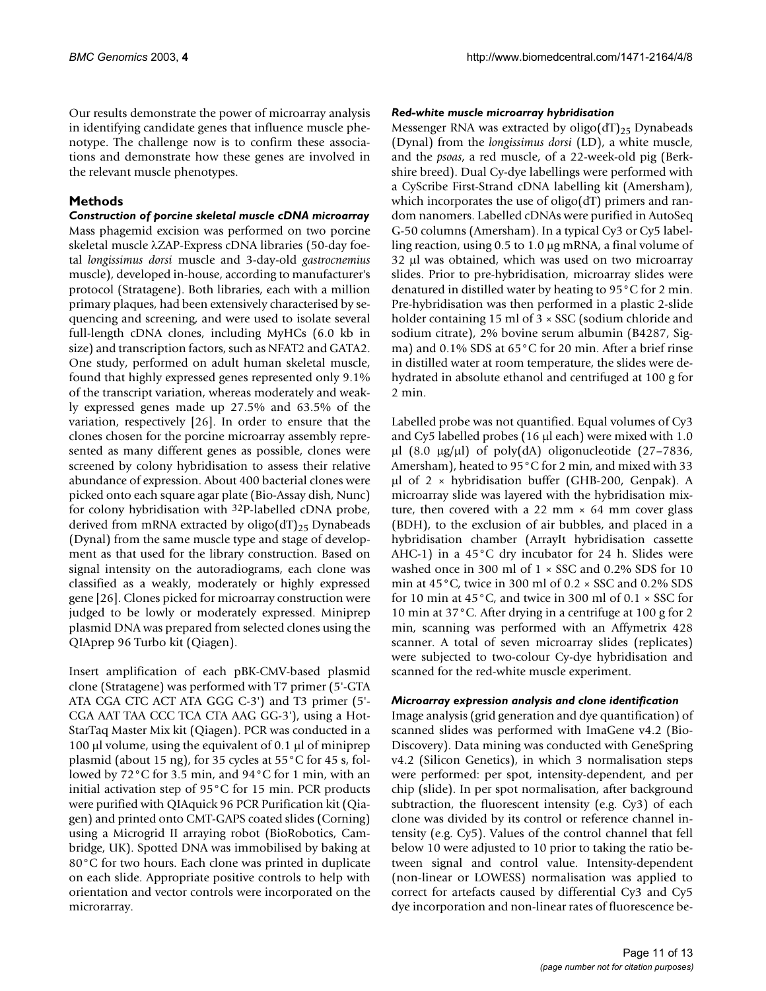Our results demonstrate the power of microarray analysis in identifying candidate genes that influence muscle phenotype. The challenge now is to confirm these associations and demonstrate how these genes are involved in the relevant muscle phenotypes.

# **Methods**

*Construction of porcine skeletal muscle cDNA microarray* Mass phagemid excision was performed on two porcine skeletal muscle λZAP-Express cDNA libraries (50-day foetal *longissimus dorsi* muscle and 3-day-old *gastrocnemius* muscle), developed in-house, according to manufacturer's protocol (Stratagene). Both libraries, each with a million primary plaques, had been extensively characterised by sequencing and screening, and were used to isolate several full-length cDNA clones, including MyHCs (6.0 kb in size) and transcription factors, such as NFAT2 and GATA2. One study, performed on adult human skeletal muscle, found that highly expressed genes represented only 9.1% of the transcript variation, whereas moderately and weakly expressed genes made up 27.5% and 63.5% of the variation, respectively [26]. In order to ensure that the clones chosen for the porcine microarray assembly represented as many different genes as possible, clones were screened by colony hybridisation to assess their relative abundance of expression. About 400 bacterial clones were picked onto each square agar plate (Bio-Assay dish, Nunc) for colony hybridisation with 32P-labelled cDNA probe, derived from mRNA extracted by oligo(dT)<sub>25</sub> Dynabeads (Dynal) from the same muscle type and stage of development as that used for the library construction. Based on signal intensity on the autoradiograms, each clone was classified as a weakly, moderately or highly expressed gene [26]. Clones picked for microarray construction were judged to be lowly or moderately expressed. Miniprep plasmid DNA was prepared from selected clones using the QIAprep 96 Turbo kit (Qiagen).

Insert amplification of each pBK-CMV-based plasmid clone (Stratagene) was performed with T7 primer (5'-GTA ATA CGA CTC ACT ATA GGG C-3') and T3 primer (5'- CGA AAT TAA CCC TCA CTA AAG GG-3'), using a Hot-StarTaq Master Mix kit (Qiagen). PCR was conducted in a 100  $\mu$ l volume, using the equivalent of 0.1  $\mu$ l of miniprep plasmid (about 15 ng), for 35 cycles at 55°C for 45 s, followed by 72°C for 3.5 min, and 94°C for 1 min, with an initial activation step of 95°C for 15 min. PCR products were purified with QIAquick 96 PCR Purification kit (Qiagen) and printed onto CMT-GAPS coated slides (Corning) using a Microgrid II arraying robot (BioRobotics, Cambridge, UK). Spotted DNA was immobilised by baking at 80°C for two hours. Each clone was printed in duplicate on each slide. Appropriate positive controls to help with orientation and vector controls were incorporated on the microrarray.

# *Red-white muscle microarray hybridisation*

Messenger RNA was extracted by oligo(dT)<sub>25</sub> Dynabeads (Dynal) from the *longissimus dorsi* (LD), a white muscle, and the *psoas*, a red muscle, of a 22-week-old pig (Berkshire breed). Dual Cy-dye labellings were performed with a CyScribe First-Strand cDNA labelling kit (Amersham), which incorporates the use of oligo(dT) primers and random nanomers. Labelled cDNAs were purified in AutoSeq G-50 columns (Amersham). In a typical Cy3 or Cy5 labelling reaction, using 0.5 to 1.0 µg mRNA, a final volume of 32 µl was obtained, which was used on two microarray slides. Prior to pre-hybridisation, microarray slides were denatured in distilled water by heating to 95°C for 2 min. Pre-hybridisation was then performed in a plastic 2-slide holder containing 15 ml of 3  $\times$  SSC (sodium chloride and sodium citrate), 2% bovine serum albumin (B4287, Sigma) and 0.1% SDS at 65°C for 20 min. After a brief rinse in distilled water at room temperature, the slides were dehydrated in absolute ethanol and centrifuged at 100 g for 2 min.

Labelled probe was not quantified. Equal volumes of Cy3 and Cy5 labelled probes (16 µl each) were mixed with 1.0  $\mu$ l (8.0  $\mu$ g/ $\mu$ l) of poly(dA) oligonucleotide (27–7836, Amersham), heated to 95°C for 2 min, and mixed with 33 µl of 2 × hybridisation buffer (GHB-200, Genpak). A microarray slide was layered with the hybridisation mixture, then covered with a 22 mm  $\times$  64 mm cover glass (BDH), to the exclusion of air bubbles, and placed in a hybridisation chamber (ArrayIt hybridisation cassette AHC-1) in a 45°C dry incubator for 24 h. Slides were washed once in 300 ml of 1 × SSC and 0.2% SDS for 10 min at 45°C, twice in 300 ml of 0.2 × SSC and 0.2% SDS for 10 min at 45°C, and twice in 300 ml of 0.1 × SSC for 10 min at 37°C. After drying in a centrifuge at 100 g for 2 min, scanning was performed with an Affymetrix 428 scanner. A total of seven microarray slides (replicates) were subjected to two-colour Cy-dye hybridisation and scanned for the red-white muscle experiment.

# *Microarray expression analysis and clone identification*

Image analysis (grid generation and dye quantification) of scanned slides was performed with ImaGene v4.2 (Bio-Discovery). Data mining was conducted with GeneSpring v4.2 (Silicon Genetics), in which 3 normalisation steps were performed: per spot, intensity-dependent, and per chip (slide). In per spot normalisation, after background subtraction, the fluorescent intensity (e.g. Cy3) of each clone was divided by its control or reference channel intensity (e.g. Cy5). Values of the control channel that fell below 10 were adjusted to 10 prior to taking the ratio between signal and control value. Intensity-dependent (non-linear or LOWESS) normalisation was applied to correct for artefacts caused by differential Cy3 and Cy5 dye incorporation and non-linear rates of fluorescence be-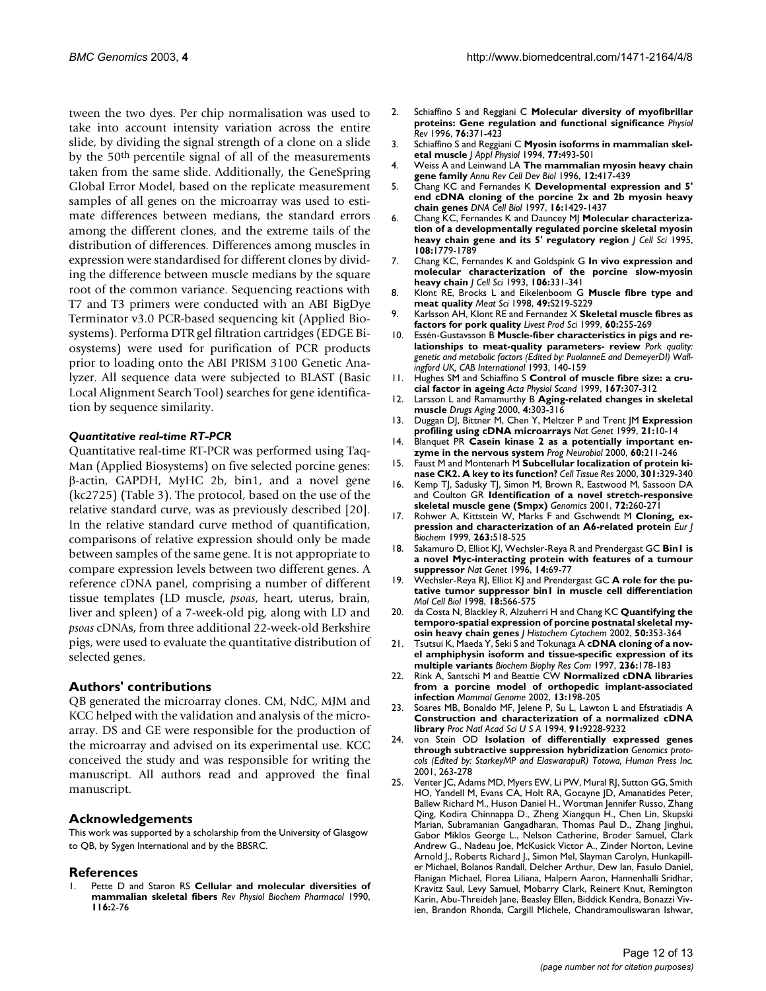tween the two dyes. Per chip normalisation was used to take into account intensity variation across the entire slide, by dividing the signal strength of a clone on a slide by the 50th percentile signal of all of the measurements taken from the same slide. Additionally, the GeneSpring Global Error Model, based on the replicate measurement samples of all genes on the microarray was used to estimate differences between medians, the standard errors among the different clones, and the extreme tails of the distribution of differences. Differences among muscles in expression were standardised for different clones by dividing the difference between muscle medians by the square root of the common variance. Sequencing reactions with T7 and T3 primers were conducted with an ABI BigDye Terminator v3.0 PCR-based sequencing kit (Applied Biosystems). Performa DTR gel filtration cartridges (EDGE Biosystems) were used for purification of PCR products prior to loading onto the ABI PRISM 3100 Genetic Analyzer. All sequence data were subjected to BLAST (Basic Local Alignment Search Tool) searches for gene identification by sequence similarity.

# *Quantitative real-time RT-PCR*

Quantitative real-time RT-PCR was performed using Taq-Man (Applied Biosystems) on five selected porcine genes: β-actin, GAPDH, MyHC 2b, bin1, and a novel gene (kc2725) (Table [3](#page-9-0)). The protocol, based on the use of the relative standard curve, was as previously described [20]. In the relative standard curve method of quantification, comparisons of relative expression should only be made between samples of the same gene. It is not appropriate to compare expression levels between two different genes. A reference cDNA panel, comprising a number of different tissue templates (LD muscle, *psoas*, heart, uterus, brain, liver and spleen) of a 7-week-old pig, along with LD and *psoas* cDNAs, from three additional 22-week-old Berkshire pigs, were used to evaluate the quantitative distribution of selected genes.

# **Authors' contributions**

QB generated the microarray clones. CM, NdC, MJM and KCC helped with the validation and analysis of the microarray. DS and GE were responsible for the production of the microarray and advised on its experimental use. KCC conceived the study and was responsible for writing the manuscript. All authors read and approved the final manuscript.

# **Acknowledgements**

This work was supported by a scholarship from the University of Glasgow to QB, by Sygen International and by the BBSRC.

#### **References**

1. Pette D and Staron RS **Cellular and molecular diversities of mammalian skeletal fibers** *Rev Physiol Biochem Pharmacol* 1990, **116:**2-76

- 2. Schiaffino S and Reggiani C **[Molecular diversity of myofibrillar](http://www.ncbi.nlm.nih.gov/entrez/query.fcgi?cmd=Retrieve&db=PubMed&dopt=Abstract&list_uids=8618961) [proteins: Gene regulation and functional significance](http://www.ncbi.nlm.nih.gov/entrez/query.fcgi?cmd=Retrieve&db=PubMed&dopt=Abstract&list_uids=8618961)** *Physiol Rev* 1996, **76:**371-423
- 3. Schiaffino S and Reggiani C **[Myosin isoforms in mammalian skel](http://www.ncbi.nlm.nih.gov/entrez/query.fcgi?cmd=Retrieve&db=PubMed&dopt=Abstract&list_uids=8002492)[etal muscle](http://www.ncbi.nlm.nih.gov/entrez/query.fcgi?cmd=Retrieve&db=PubMed&dopt=Abstract&list_uids=8002492)** *J Appl Physiol* 1994, **77:**493-501
- 4. Weiss A and Leinwand LA **[The mammalian myosin heavy chain](http://www.ncbi.nlm.nih.gov/entrez/query.fcgi?cmd=Retrieve&db=PubMed&dopt=Abstract&list_uids=8970733) [gene family](http://www.ncbi.nlm.nih.gov/entrez/query.fcgi?cmd=Retrieve&db=PubMed&dopt=Abstract&list_uids=8970733)** *Annu Rev Cell Dev Biol* 1996, **12:**417-439
- 5. Chang KC and Fernandes K **[Developmental expression and 5'](http://www.ncbi.nlm.nih.gov/entrez/query.fcgi?cmd=Retrieve&db=PubMed&dopt=Abstract&list_uids=9428791) [end cDNA cloning of the porcine 2x and 2b myosin heavy](http://www.ncbi.nlm.nih.gov/entrez/query.fcgi?cmd=Retrieve&db=PubMed&dopt=Abstract&list_uids=9428791) [chain genes](http://www.ncbi.nlm.nih.gov/entrez/query.fcgi?cmd=Retrieve&db=PubMed&dopt=Abstract&list_uids=9428791)** *DNA Cell Biol* 1997, **16:**1429-1437
- 6. Chang KC, Fernandes K and Dauncey MJ **[Molecular characteriza](http://www.ncbi.nlm.nih.gov/entrez/query.fcgi?cmd=Retrieve&db=PubMed&dopt=Abstract&list_uids=7615692)[tion of a developmentally regulated porcine skeletal myosin](http://www.ncbi.nlm.nih.gov/entrez/query.fcgi?cmd=Retrieve&db=PubMed&dopt=Abstract&list_uids=7615692) [heavy chain gene and its 5' regulatory region](http://www.ncbi.nlm.nih.gov/entrez/query.fcgi?cmd=Retrieve&db=PubMed&dopt=Abstract&list_uids=7615692)** *J Cell Sci* 1995, **108:**1779-1789
- 7. Chang KC, Fernandes K and Goldspink G **[In vivo expression and](http://www.ncbi.nlm.nih.gov/entrez/query.fcgi?cmd=Retrieve&db=PubMed&dopt=Abstract&list_uids=8270635) [molecular characterization of the porcine slow-myosin](http://www.ncbi.nlm.nih.gov/entrez/query.fcgi?cmd=Retrieve&db=PubMed&dopt=Abstract&list_uids=8270635) [heavy chain](http://www.ncbi.nlm.nih.gov/entrez/query.fcgi?cmd=Retrieve&db=PubMed&dopt=Abstract&list_uids=8270635)** *J Cell Sci* 1993, **106:**331-341
- 8. Klont RE, Brocks L and Eikelenboom G **Muscle fibre type and meat quality** *Meat Sci* 1998, **49:**S219-S229
- 9. Karlsson AH, Klont RE and Fernandez X **Skeletal muscle fibres as factors for pork quality** *Livest Prod Sci* 1999, **60:**255-269
- 10. Essén-Gustavsson B **Muscle-fiber characteristics in pigs and relationships to meat-quality parameters- review** *Pork quality: genetic and metabolic factors (Edited by: PuolanneE and DemeyerDI) Wallingford UK, CAB International* 1993, 140-159
- 11. Hughes SM and Schiaffino S **[Control of muscle fibre size: a cru](http://www.ncbi.nlm.nih.gov/entrez/query.fcgi?cmd=Retrieve&db=PubMed&dopt=Abstract&list_uids=10632631)[cial factor in ageing](http://www.ncbi.nlm.nih.gov/entrez/query.fcgi?cmd=Retrieve&db=PubMed&dopt=Abstract&list_uids=10632631)** *Acta Physiol Scand* 1999, **167:**307-312
- 12. Larsson L and Ramamurthy B **Aging-related changes in skeletal muscle** *Drugs Aging* 2000, **4:**303-316
- 13. Duggan DJ, Bittner M, Chen Y, Meltzer P and Trent JM **[Expression](http://www.ncbi.nlm.nih.gov/entrez/query.fcgi?cmd=Retrieve&db=PubMed&dopt=Abstract&list_uids=9915494) [profiling using cDNA microarrays](http://www.ncbi.nlm.nih.gov/entrez/query.fcgi?cmd=Retrieve&db=PubMed&dopt=Abstract&list_uids=9915494)** *Nat Genet* 1999, **21:**10-14
- 14. Blanquet PR **[Casein kinase 2 as a potentially important en](http://www.ncbi.nlm.nih.gov/entrez/query.fcgi?cmd=Retrieve&db=PubMed&dopt=Abstract&list_uids=10658642)[zyme in the nervous system](http://www.ncbi.nlm.nih.gov/entrez/query.fcgi?cmd=Retrieve&db=PubMed&dopt=Abstract&list_uids=10658642)** *Prog Neurobiol* 2000, **60:**211-246
- 15. Faust M and Montenarh M [Subcellular localization of protein ki](http://www.ncbi.nlm.nih.gov/entrez/query.fcgi?cmd=Retrieve&db=PubMed&dopt=Abstract&list_uids=10994779)**[nase CK2. A key to its function?](http://www.ncbi.nlm.nih.gov/entrez/query.fcgi?cmd=Retrieve&db=PubMed&dopt=Abstract&list_uids=10994779)** *Cell Tissue Res* 2000, **301:**329-340
- 16. Kemp TJ, Sadusky TJ, Simon M, Brown R, Eastwood M, Sassoon DA and Coulton GR **[Identification of a novel stretch-responsive](http://www.ncbi.nlm.nih.gov/entrez/query.fcgi?cmd=Retrieve&db=PubMed&dopt=Abstract&list_uids=11401441) [skeletal muscle gene \(Smpx\)](http://www.ncbi.nlm.nih.gov/entrez/query.fcgi?cmd=Retrieve&db=PubMed&dopt=Abstract&list_uids=11401441)** *Genomics* 2001, **72:**260-271
- 17. Rohwer A, Kittstein W, Marks F and Gschwendt M **[Cloning, ex](http://www.ncbi.nlm.nih.gov/entrez/query.fcgi?cmd=Retrieve&db=PubMed&dopt=Abstract&list_uids=10406962)[pression and characterization of an A6-related protein](http://www.ncbi.nlm.nih.gov/entrez/query.fcgi?cmd=Retrieve&db=PubMed&dopt=Abstract&list_uids=10406962)** *Eur J Biochem* 1999, **263:**518-525
- 18. Sakamuro D, Elliot KJ, Wechsler-Reya R and Prendergast GC **[Bin1 is](http://www.ncbi.nlm.nih.gov/entrez/query.fcgi?cmd=Retrieve&db=PubMed&dopt=Abstract&list_uids=8782822) [a novel Myc-interacting protein with features of a tumour](http://www.ncbi.nlm.nih.gov/entrez/query.fcgi?cmd=Retrieve&db=PubMed&dopt=Abstract&list_uids=8782822) [suppressor](http://www.ncbi.nlm.nih.gov/entrez/query.fcgi?cmd=Retrieve&db=PubMed&dopt=Abstract&list_uids=8782822)** *Nat Genet* 1996, **14:**69-77
- 19. Wechsler-Reya RJ, Elliot KJ and Prendergast GC **[A role for the pu](http://www.ncbi.nlm.nih.gov/entrez/query.fcgi?cmd=Retrieve&db=PubMed&dopt=Abstract&list_uids=121524)[tative tumor suppressor bin1 in muscle cell differentiation](http://www.ncbi.nlm.nih.gov/entrez/query.fcgi?cmd=Retrieve&db=PubMed&dopt=Abstract&list_uids=121524)** *Mol Cell Biol* 1998, **18:**566-575
- 20. da Costa N, Blackley R, Alzuherri H and Chang KC **[Quantifying the](http://www.ncbi.nlm.nih.gov/entrez/query.fcgi?cmd=Retrieve&db=PubMed&dopt=Abstract&list_uids=11850438) [temporo-spatial expression of porcine postnatal skeletal my](http://www.ncbi.nlm.nih.gov/entrez/query.fcgi?cmd=Retrieve&db=PubMed&dopt=Abstract&list_uids=11850438)[osin heavy chain genes](http://www.ncbi.nlm.nih.gov/entrez/query.fcgi?cmd=Retrieve&db=PubMed&dopt=Abstract&list_uids=11850438)** *J Histochem Cytochem* 2002, **50:**353-364
- 21. Tsutsui K, Maeda Y, Seki S and Tokunaga A **cDNA cloning of a novel amphiphysin isoform and tissue-specific expression of its multiple variants** *Biochem Biophy Res Com* 1997, **236:**178-183
- 22. Rink A, Santschi M and Beattie CW **Normalized cDNA libraries from a porcine model of orthopedic implant-associated infection** *Mammal Genome* 2002, **13:**198-205
- 23. Soares MB, Bonaldo MF, Jelene P, Su L, Lawton L and Efstratiadis A **[Construction and characterization of a normalized cDNA](http://www.ncbi.nlm.nih.gov/entrez/query.fcgi?cmd=Retrieve&db=PubMed&dopt=Abstract&list_uids=44785) [library](http://www.ncbi.nlm.nih.gov/entrez/query.fcgi?cmd=Retrieve&db=PubMed&dopt=Abstract&list_uids=44785)** *Proc Natl Acad Sci U S A* 1994, **91:**9228-9232
- 24. von Stein OD **Isolation of differentially expressed genes through subtractive suppression hybridization** *Genomics protocols (Edited by: StarkeyMP and ElaswarapuR) Totowa, Human Press Inc.* 2001, 263-278
- 25. Venter JC, Adams MD, Myers EW, Li PW, Mural RJ, Sutton GG, Smith HO, Yandell M, Evans CA, Holt RA, Gocayne JD, Amanatides Peter, Ballew Richard M., Huson Daniel H., Wortman Jennifer Russo, Zhang Qing, Kodira Chinnappa D., Zheng Xiangqun H., Chen Lin, Skupski Marian, Subramanian Gangadharan, Thomas Paul D., Zhang Jinghui, Gabor Miklos George L., Nelson Catherine, Broder Samuel, Clark Andrew G., Nadeau Joe, McKusick Victor A., Zinder Norton, Levine Arnold J., Roberts Richard J., Simon Mel, Slayman Carolyn, Hunkapiller Michael, Bolanos Randall, Delcher Arthur, Dew Ian, Fasulo Daniel, Flanigan Michael, Florea Liliana, Halpern Aaron, Hannenhalli Sridhar, Kravitz Saul, Levy Samuel, Mobarry Clark, Reinert Knut, Remington Karin, Abu-Threideh Jane, Beasley Ellen, Biddick Kendra, Bonazzi Vivien, Brandon Rhonda, Cargill Michele, Chandramouliswaran Ishwar,